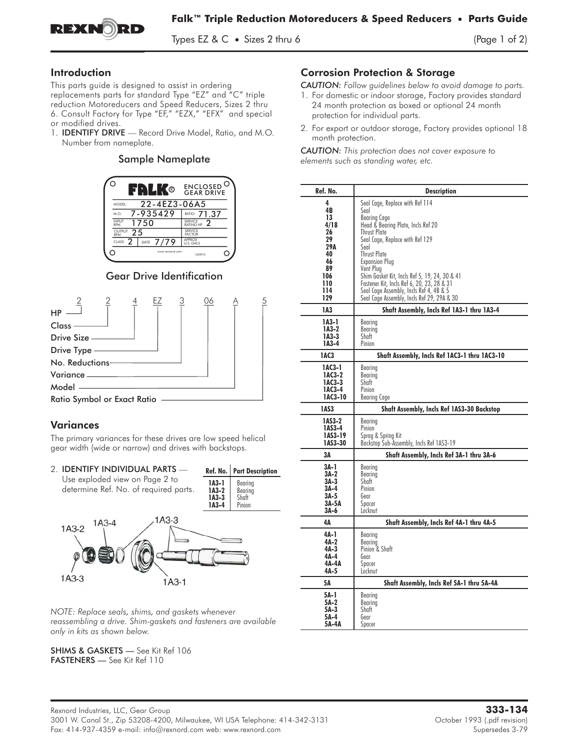

Types EZ &  $C \bullet$  Sizes 2 thru 6 (Page 1 of 2)

# Introduction

This parts guide is designed to assist in ordering rms parts gonde is designed to assist in ordering<br>replacements parts for standard Type "EZ" and "C" triple<br>reduction Motoreducers and Speed Reducers, Sizes 2 thru<br>6. Consult Factory for Type "EF," "EZX," "EFX" and special<br> reduction Motoreducers and Speed Reducers, Sizes 2 thru 6. Consult Factory for Type "EF," "EZX," "EFX" and special or modified drives.<br>1. **IDENTIFY DRIVE** — Record Drive Model, Ratio, and M.O.

Number from nameplate.

## Sample Nameplate



# Gear Drive Identification



## Variances

The primary variances for these drives are low speed helical gear width (wide or narrow) and drives with backstops.



*NOTE: Replace seals, shims, and gaskets whenever reassembling a drive. Shim-gaskets and fasteners are available only in kits as shown below.*

SHIMS & GASKETS — See Kit Ref 106 FASTENERS — See Kit Ref 110

# Corrosion Protection & Storage

*CAUTION: Follow guidelines below to avoid damage to parts.*

- 1. For domestic or indoor storage, Factory provides standard 24 month protection as boxed or optional 24 month protection for individual parts.
- 2. For export or outdoor storage, Factory provides optional 18 month protection.

*CAUTION: This protection does not cover exposure to elements such as standing water, etc.*

| Ref. No.                                                                               | <b>Description</b>                                                                                                                                                                                                                                                                                                                                                                                     |
|----------------------------------------------------------------------------------------|--------------------------------------------------------------------------------------------------------------------------------------------------------------------------------------------------------------------------------------------------------------------------------------------------------------------------------------------------------------------------------------------------------|
| 4<br>4B<br>13<br>4/18<br>26<br>29<br>29A<br>40<br>46<br>89<br>106<br>110<br>114<br>129 | Seal Cage, Replace with Ref 114<br>Seal<br>Bearing Cage<br>Head & Bearing Plate, Incls Ref 20<br><b>Thrust Plate</b><br>Seal Cage, Replace with Ref 129<br>Seal<br>Thrust Plate<br>Expansion Plua<br>Vent Plug<br>Shim Gasket Kit, Incls Ref 5, 19, 24, 30 & 41<br>Fastener Kit, Incls Ref 6, 20, 23, 28 & 31<br>Seal Cage Assembly, Incls Ref 4, 4B & 5<br>Seal Cage Assembly, Incls Ref 29, 29A & 30 |
| 1A3                                                                                    | Shaft Assembly, Incls Ref 1A3-1 thru 1A3-4                                                                                                                                                                                                                                                                                                                                                             |
| $IA3-1$<br>1A3-2<br>$IA3-3$<br>$IA3-4$                                                 | Bearing<br>Bearing<br>Shaft<br>Pinion                                                                                                                                                                                                                                                                                                                                                                  |
| 1AC3                                                                                   | Shaft Assembly, Incls Ref 1AC3-1 thru 1AC3-10                                                                                                                                                                                                                                                                                                                                                          |
| 1AC3-1<br>1AC3-2<br>1AC3-3<br>1AC3-4<br>1AC3-10                                        | Bearing<br>Bearing<br>Shaft<br>Pinion<br>Bearing Cage                                                                                                                                                                                                                                                                                                                                                  |
| 1AS3                                                                                   | <b>Shaft Assembly, Incls Ref 1AS3-30 Backstop</b>                                                                                                                                                                                                                                                                                                                                                      |
| 1AS3-2<br>1AS3-4<br>1AS3-19<br>1AS3-30                                                 | Bearing<br>Pinion<br>Sprag & Spring Kit<br>Backstop Sub-Assembly, Incls Ref 1AS3-19                                                                                                                                                                                                                                                                                                                    |
| ЗΑ                                                                                     | Shaft Assembly, Incls Ref 3A-1 thru 3A-6                                                                                                                                                                                                                                                                                                                                                               |
| 3A-1<br>3A-2<br>3A-3<br>$3A-4$<br>3A-5<br>3A-5A<br>3A-6                                | Bearing<br>Bearing<br>Shaft<br>Pinion<br>Gear<br>Spacer<br>Locknut                                                                                                                                                                                                                                                                                                                                     |
| 4Α                                                                                     | Shaft Assembly, Incls Ref 4A-1 thru 4A-5                                                                                                                                                                                                                                                                                                                                                               |
| 4A-1<br>4A-2<br>4A-3<br>4A-4<br>4A-4A<br>4A-5                                          | Bearing<br>Bearing<br>Pinion & Shaft<br>Gear<br>Spacer<br>Locknut                                                                                                                                                                                                                                                                                                                                      |
| 5А                                                                                     | Shaft Assembly, Incls Ref 5A-1 thru 5A-4A                                                                                                                                                                                                                                                                                                                                                              |
| 5A-1<br>5A-2<br>5A-3<br>5A-4<br>5A-4A                                                  | Bearing<br>Bearing<br>Shaft<br>Gear<br>Spacer                                                                                                                                                                                                                                                                                                                                                          |